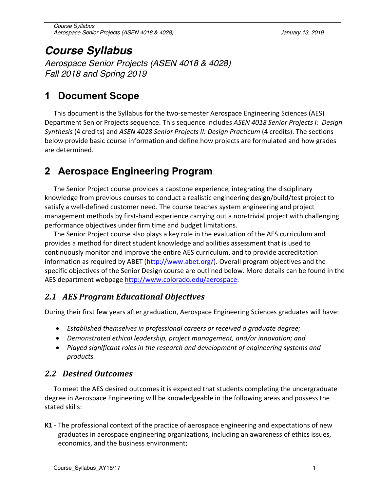# *Course Syllabus*

*Aerospace Senior Projects (ASEN 4018 & 4028) Fall 2018 and Spring 2019*

# **1 Document Scope**

This document is the Syllabus for the two-semester Aerospace Engineering Sciences (AES) Department Senior Projects sequence. This sequence includes *ASEN 4018 Senior Projects I: Design Synthesis* (4 credits) and *ASEN 4028 Senior Projects II: Design Practicum* (4 credits). The sections below provide basic course information and define how projects are formulated and how grades are determined.

# **2 Aerospace Engineering Program**

The Senior Project course provides a capstone experience, integrating the disciplinary knowledge from previous courses to conduct a realistic engineering design/build/test project to satisfy a well-defined customer need. The course teaches system engineering and project management methods by first-hand experience carrying out a non-trivial project with challenging performance objectives under firm time and budget limitations.

The Senior Project course also plays a key role in the evaluation of the AES curriculum and provides a method for direct student knowledge and abilities assessment that is used to continuously monitor and improve the entire AES curriculum, and to provide accreditation information as required by ABET (http://www.abet.org/). Overall program objectives and the specific objectives of the Senior Design course are outlined below. More details can be found in the AES department webpage http://www.colorado.edu/aerospace.

## *2.1 AES Program Educational Objectives*

During their first few years after graduation, Aerospace Engineering Sciences graduates will have:

- *Established themselves in professional careers or received a graduate degree;*
- *Demonstrated ethical leadership, project management, and/or innovation; and*
- *Played significant roles in the research and development of engineering systems and products.*

## *2.2 Desired Outcomes*

To meet the AES desired outcomes it is expected that students completing the undergraduate degree in Aerospace Engineering will be knowledgeable in the following areas and possess the stated skills:

**K1** - The professional context of the practice of aerospace engineering and expectations of new graduates in aerospace engineering organizations, including an awareness of ethics issues, economics, and the business environment;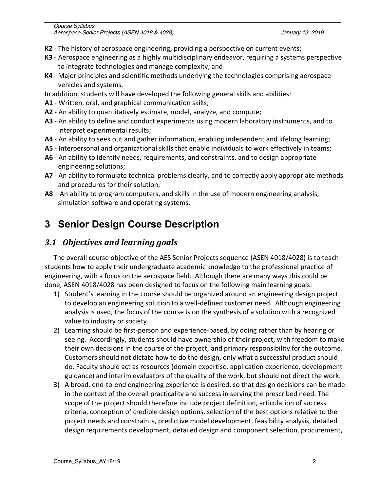- **K2** The history of aerospace engineering, providing a perspective on current events;
- **K3** Aerospace engineering as a highly multidisciplinary endeavor, requiring a systems perspective to integrate technologies and manage complexity; and
- **K4** Major principles and scientific methods underlying the technologies comprising aerospace vehicles and systems.
- In addition, students will have developed the following general skills and abilities:
- **A1** Written, oral, and graphical communication skills;
- **A2** An ability to quantitatively estimate, model, analyze, and compute;
- **A3** An ability to define and conduct experiments using modern laboratory instruments, and to interpret experimental results;
- **A4** An ability to seek out and gather information, enabling independent and lifelong learning;
- **A5** Interpersonal and organizational skills that enable individuals to work effectively in teams;
- **A6** An ability to identify needs, requirements, and constraints, and to design appropriate engineering solutions;
- **A7** An ability to formulate technical problems clearly, and to correctly apply appropriate methods and procedures for their solution;
- **A8** An ability to program computers, and skills in the use of modern engineering analysis, simulation software and operating systems.

# **3 Senior Design Course Description**

## *3.1 Objectives and learning goals*

The overall course objective of the AES Senior Projects sequence (ASEN 4018/4028) is to teach students how to apply their undergraduate academic knowledge to the professional practice of engineering, with a focus on the aerospace field. Although there are many ways this could be done, ASEN 4018/4028 has been designed to focus on the following main learning goals:

- 1) Student's learning in the course should be organized around an engineering design project to develop an engineering solution to a well-defined customer need. Although engineering analysis is used, the focus of the course is on the synthesis of a solution with a recognized value to industry or society.
- 2) Learning should be first-person and experience-based, by doing rather than by hearing or seeing. Accordingly, students should have ownership of their project, with freedom to make their own decisions in the course of the project, and primary responsibility for the outcome. Customers should not dictate how to do the design, only what a successful product should do. Faculty should act as resources (domain expertise, application experience, development guidance) and interim evaluators of the quality of the work, but should not direct the work.
- 3) A broad, end-to-end engineering experience is desired, so that design decisions can be made in the context of the overall practicality and success in serving the prescribed need. The scope of the project should therefore include project definition, articulation of success criteria, conception of credible design options, selection of the best options relative to the project needs and constraints, predictive model development, feasibility analysis, detailed design requirements development, detailed design and component selection, procurement,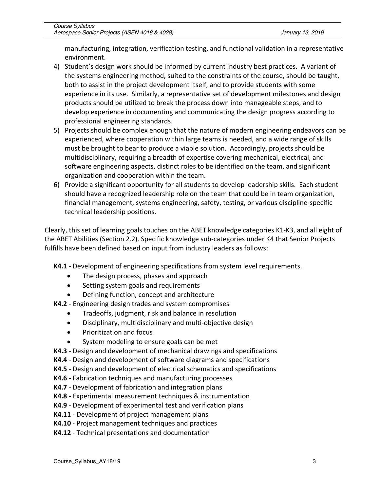manufacturing, integration, verification testing, and functional validation in a representative environment.

- 4) Student's design work should be informed by current industry best practices. A variant of the systems engineering method, suited to the constraints of the course, should be taught, both to assist in the project development itself, and to provide students with some experience in its use. Similarly, a representative set of development milestones and design products should be utilized to break the process down into manageable steps, and to develop experience in documenting and communicating the design progress according to professional engineering standards.
- 5) Projects should be complex enough that the nature of modern engineering endeavors can be experienced, where cooperation within large teams is needed, and a wide range of skills must be brought to bear to produce a viable solution. Accordingly, projects should be multidisciplinary, requiring a breadth of expertise covering mechanical, electrical, and software engineering aspects, distinct roles to be identified on the team, and significant organization and cooperation within the team.
- 6) Provide a significant opportunity for all students to develop leadership skills. Each student should have a recognized leadership role on the team that could be in team organization, financial management, systems engineering, safety, testing, or various discipline-specific technical leadership positions.

Clearly, this set of learning goals touches on the ABET knowledge categories K1-K3, and all eight of the ABET Abilities (Section 2.2). Specific knowledge sub-categories under K4 that Senior Projects fulfills have been defined based on input from industry leaders as follows:

- **K4.1** Development of engineering specifications from system level requirements.
	- The design process, phases and approach
	- Setting system goals and requirements
	- Defining function, concept and architecture
- **K4.2** Engineering design trades and system compromises
	- Tradeoffs, judgment, risk and balance in resolution
	- Disciplinary, multidisciplinary and multi-objective design
	- Prioritization and focus
	- System modeling to ensure goals can be met
- **K4.3** Design and development of mechanical drawings and specifications
- **K4.4** Design and development of software diagrams and specifications
- **K4.5** Design and development of electrical schematics and specifications
- **K4.6** Fabrication techniques and manufacturing processes
- **K4.7** Development of fabrication and integration plans
- **K4.8** Experimental measurement techniques & instrumentation
- **K4.9** Development of experimental test and verification plans
- **K4.11** Development of project management plans
- **K4.10** Project management techniques and practices
- **K4.12** Technical presentations and documentation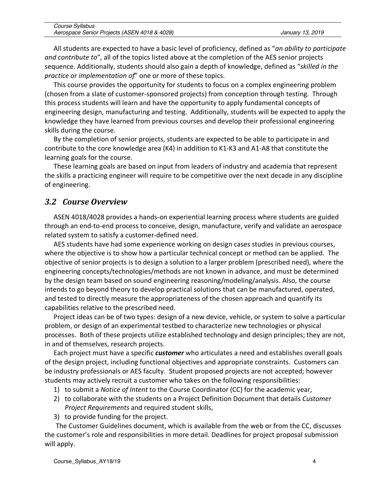| Course Syllabus                              |                  |
|----------------------------------------------|------------------|
| Aerospace Senior Projects (ASEN 4018 & 4028) | January 13, 2019 |

All students are expected to have a basic level of proficiency, defined as "*an ability to participate and contribute to*", all of the topics listed above at the completion of the AES senior projects sequence. Additionally, students should also gain a depth of knowledge, defined as "*skilled in the practice or implementation of*" one or more of these topics.

This course provides the opportunity for students to focus on a complex engineering problem (chosen from a slate of customer-sponsored projects) from conception through testing. Through this process students will learn and have the opportunity to apply fundamental concepts of engineering design, manufacturing and testing. Additionally, students will be expected to apply the knowledge they have learned from previous courses and develop their professional engineering skills during the course.

By the completion of senior projects, students are expected to be able to participate in and contribute to the core knowledge area (K4) in addition to K1-K3 and A1-A8 that constitute the learning goals for the course.

These learning goals are based on input from leaders of industry and academia that represent the skills a practicing engineer will require to be competitive over the next decade in any discipline of engineering.

#### *3.2 Course Overview*

ASEN 4018/4028 provides a hands-on experiential learning process where students are guided through an end-to-end process to conceive, design, manufacture, verify and validate an aerospace related system to satisfy a customer-defined need.

AES students have had some experience working on design cases studies in previous courses, where the objective is to show how a particular technical concept or method can be applied. The objective of senior projects is to design a solution to a larger problem (prescribed need), where the engineering concepts/technologies/methods are not known in advance, and must be determined by the design team based on sound engineering reasoning/modeling/analysis. Also, the course intends to go beyond theory to develop practical solutions that can be manufactured, operated, and tested to directly measure the appropriateness of the chosen approach and quantify its capabilities relative to the prescribed need.

Project ideas can be of two types: design of a new device, vehicle, or system to solve a particular problem, or design of an experimental testbed to characterize new technologies or physical processes. Both of these projects utilize established technology and design principles; they are not, in and of themselves, research projects.

Each project must have a specific *customer* who articulates a need and establishes overall goals of the design project, including functional objectives and appropriate constraints. Customers can be industry professionals or AES faculty. Student proposed projects are not accepted; however students may actively recruit a customer who takes on the following responsibilities:

- 1) to submit a *Notice of Intent* to the Course Coordinator (CC) for the academic year,
- 2) to collaborate with the students on a Project Definition Document that details *Customer Project Requirements* and required student skills,
- 3) to provide funding for the project.

The Customer Guidelines document, which is available from the web or from the CC, discusses the customer's role and responsibilities in more detail. Deadlines for project proposal submission will apply.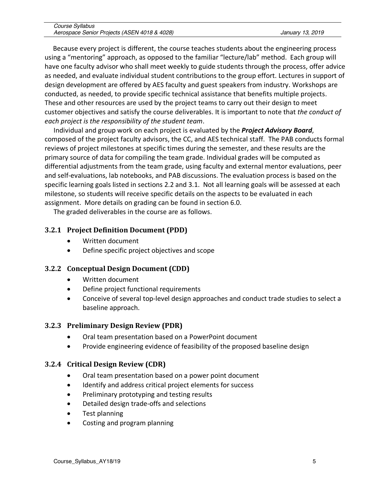| Course Syllabus                              |                  |
|----------------------------------------------|------------------|
| Aerospace Senior Projects (ASEN 4018 & 4028) | January 13, 2019 |

Because every project is different, the course teaches students about the engineering process using a "mentoring" approach, as opposed to the familiar "lecture/lab" method. Each group will have one faculty advisor who shall meet weekly to guide students through the process, offer advice as needed, and evaluate individual student contributions to the group effort. Lectures in support of design development are offered by AES faculty and guest speakers from industry. Workshops are conducted, as needed, to provide specific technical assistance that benefits multiple projects. These and other resources are used by the project teams to carry out their design to meet customer objectives and satisfy the course deliverables. It is important to note that *the conduct of each project is the responsibility of the student team*.

Individual and group work on each project is evaluated by the *Project Advisory Board*, composed of the project faculty advisors, the CC, and AES technical staff. The PAB conducts formal reviews of project milestones at specific times during the semester, and these results are the primary source of data for compiling the team grade. Individual grades will be computed as differential adjustments from the team grade, using faculty and external mentor evaluations, peer and self-evaluations, lab notebooks, and PAB discussions. The evaluation process is based on the specific learning goals listed in sections 2.2 and 3.1. Not all learning goals will be assessed at each milestone, so students will receive specific details on the aspects to be evaluated in each assignment. More details on grading can be found in section 6.0.

The graded deliverables in the course are as follows.

#### **3.2.1 Project Definition Document (PDD)**

- Written document
- Define specific project objectives and scope

#### **3.2.2 Conceptual Design Document (CDD)**

- Written document
- Define project functional requirements
- Conceive of several top-level design approaches and conduct trade studies to select a baseline approach.

#### **3.2.3 Preliminary Design Review (PDR)**

- Oral team presentation based on a PowerPoint document
- Provide engineering evidence of feasibility of the proposed baseline design

#### **3.2.4 Critical Design Review (CDR)**

- Oral team presentation based on a power point document
- Identify and address critical project elements for success
- Preliminary prototyping and testing results
- Detailed design trade-offs and selections
- Test planning
- Costing and program planning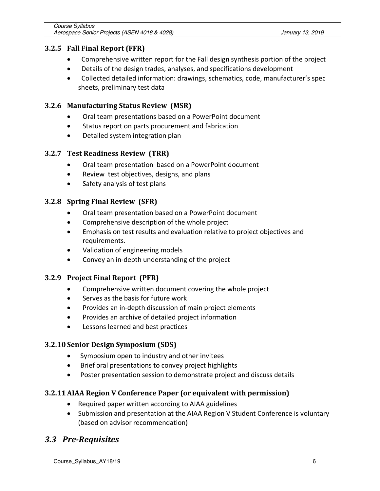#### **3.2.5** Fall Final Report (FFR)

- Comprehensive written report for the Fall design synthesis portion of the project
- Details of the design trades, analyses, and specifications development
- Collected detailed information: drawings, schematics, code, manufacturer's spec sheets, preliminary test data

#### **3.2.6 Manufacturing Status Review (MSR)**

- Oral team presentations based on a PowerPoint document
- Status report on parts procurement and fabrication
- Detailed system integration plan

#### **3.2.7 Test Readiness Review (TRR)**

- Oral team presentation based on a PowerPoint document
- Review test objectives, designs, and plans
- Safety analysis of test plans

#### **3.2.8 Spring Final Review (SFR)**

- Oral team presentation based on a PowerPoint document
- Comprehensive description of the whole project
- Emphasis on test results and evaluation relative to project objectives and requirements.
- Validation of engineering models
- Convey an in-depth understanding of the project

#### **3.2.9 Project Final Report (PFR)**

- Comprehensive written document covering the whole project
- Serves as the basis for future work
- Provides an in-depth discussion of main project elements
- Provides an archive of detailed project information
- Lessons learned and best practices

#### **3.2.10 Senior Design Symposium (SDS)**

- Symposium open to industry and other invitees
- Brief oral presentations to convey project highlights
- Poster presentation session to demonstrate project and discuss details

#### **3.2.11 AIAA Region V Conference Paper (or equivalent with permission)**

- Required paper written according to AIAA guidelines
- Submission and presentation at the AIAA Region V Student Conference is voluntary (based on advisor recommendation)

## *3.3 Pre-Requisites*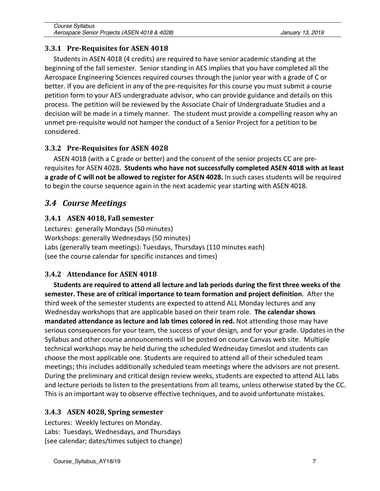#### **3.3.1 Pre-Requisites for ASEN 4018**

Students in ASEN 4018 (4 credits) are required to have senior academic standing at the beginning of the fall semester. Senior standing in AES implies that you have completed all the Aerospace Engineering Sciences required courses through the junior year with a grade of C or better. If you are deficient in any of the pre-requisites for this course you must submit a course petition form to your AES undergraduate advisor, who can provide guidance and details on this process. The petition will be reviewed by the Associate Chair of Undergraduate Studies and a decision will be made in a timely manner. The student must provide a compelling reason why an unmet pre-requisite would not hamper the conduct of a Senior Project for a petition to be considered.

### **3.3.2 Pre-Requisites for ASEN 4028**

ASEN 4018 (with a C grade or better) and the consent of the senior projects CC are prerequisites for ASEN 4028**. Students who have not successfully completed ASEN 4018 with at least a grade of C will not be allowed to register for ASEN 4028.** In such cases students will be required to begin the course sequence again in the next academic year starting with ASEN 4018.

## *3.4 Course Meetings*

#### **3.4.1 ASEN 4018, Fall semester**

Lectures: generally Mondays (50 minutes) Workshops: generally Wednesdays (50 minutes) Labs (generally team meetings): Tuesdays, Thursdays (110 minutes each) (see the course calendar for specific instances and times)

## **3.4.2** Attendance for ASEN 4018

**Students are required to attend all lecture and lab periods during the first three weeks of the semester. These are of critical importance to team formation and project definition**. After the third week of the semester students are expected to attend ALL Monday lectures and any Wednesday workshops that are applicable based on their team role. **The calendar shows mandated attendance as lecture and lab times colored in red.** Not attending those may have serious consequences for your team, the success of your design, and for your grade. Updates in the Syllabus and other course announcements will be posted on course Canvas web site. Multiple technical workshops may be held during the scheduled Wednesday timeslot and students can choose the most applicable one. Students are required to attend all of their scheduled team meetings; this includes additionally scheduled team meetings where the advisors are not present. During the preliminary and critical design review weeks, students are expected to attend ALL labs and lecture periods to listen to the presentations from all teams, unless otherwise stated by the CC. This is an important way to observe effective techniques, and to avoid unfortunate mistakes.

## **3.4.3 ASEN 4028, Spring semester**

Lectures: Weekly lectures on Monday. Labs: Tuesdays, Wednesdays, and Thursdays (see calendar; dates/times subject to change)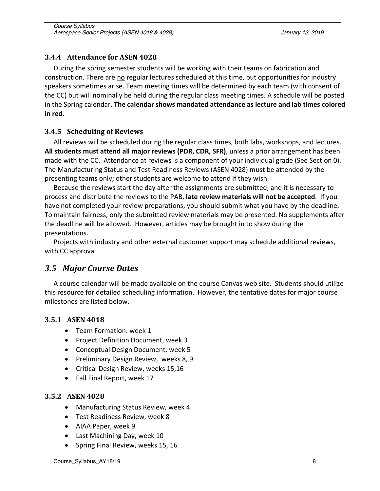#### **3.4.4** Attendance for ASEN 4028

During the spring semester students will be working with their teams on fabrication and construction. There are no regular lectures scheduled at this time, but opportunities for industry speakers sometimes arise. Team meeting times will be determined by each team (with consent of the CC) but will nominally be held during the regular class meeting times. A schedule will be posted in the Spring calendar. **The calendar shows mandated attendance as lecture and lab times colored in red.**

#### **3.4.5 Scheduling of Reviews**

All reviews will be scheduled during the regular class times, both labs, workshops, and lectures. **All students must attend all major reviews (PDR, CDR, SFR)**, unless a prior arrangement has been made with the CC. Attendance at reviews is a component of your individual grade (See Section 0). The Manufacturing Status and Test Readiness Reviews (ASEN 4028) must be attended by the presenting teams only; other students are welcome to attend if they wish.

Because the reviews start the day after the assignments are submitted, and it is necessary to process and distribute the reviews to the PAB, **late review materials will not be accepted**. If you have not completed your review preparations, you should submit what you have by the deadline. To maintain fairness, only the submitted review materials may be presented. No supplements after the deadline will be allowed. However, articles may be brought in to show during the presentations.

Projects with industry and other external customer support may schedule additional reviews, with CC approval.

#### *3.5 Major Course Dates*

A course calendar will be made available on the course Canvas web site. Students should utilize this resource for detailed scheduling information. However, the tentative dates for major course milestones are listed below.

#### **3.5.1 ASEN 4018**

- Team Formation: week 1
- Project Definition Document, week 3
- Conceptual Design Document, week 5
- Preliminary Design Review, weeks 8, 9
- Critical Design Review, weeks 15,16
- Fall Final Report, week 17

#### **3.5.2 ASEN 4028**

- Manufacturing Status Review, week 4
- Test Readiness Review, week 8
- AIAA Paper, week 9
- Last Machining Day, week 10
- Spring Final Review, weeks 15, 16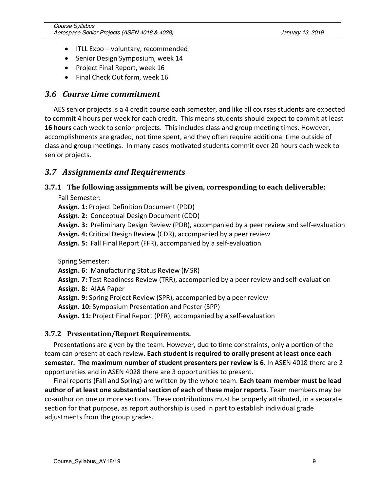- ITLL Expo voluntary, recommended
- Senior Design Symposium, week 14
- Project Final Report, week 16
- Final Check Out form, week 16

#### *3.6 Course time commitment*

AES senior projects is a 4 credit course each semester, and like all courses students are expected to commit 4 hours per week for each credit. This means students should expect to commit at least **16 hours** each week to senior projects. This includes class and group meeting times. However, accomplishments are graded, not time spent, and they often require additional time outside of class and group meetings. In many cases motivated students commit over 20 hours each week to senior projects.

### *3.7 Assignments and Requirements*

#### **3.7.1** The following assignments will be given, corresponding to each deliverable:

Fall Semester:

**Assign. 1:** Project Definition Document (PDD)

**Assign. 2:** Conceptual Design Document (CDD)

**Assign. 3:** Preliminary Design Review (PDR), accompanied by a peer review and self-evaluation

**Assign. 4:** Critical Design Review (CDR), accompanied by a peer review

**Assign. 5:** Fall Final Report (FFR), accompanied by a self-evaluation

Spring Semester:

**Assign. 6:** Manufacturing Status Review (MSR)

**Assign. 7:** Test Readiness Review (TRR), accompanied by a peer review and self-evaluation **Assign. 8:** AIAA Paper

**Assign. 9:** Spring Project Review (SPR), accompanied by a peer review

**Assign. 10:** Symposium Presentation and Poster (SPP)

**Assign. 11:** Project Final Report (PFR), accompanied by a self-evaluation

#### **3.7.2 Presentation/Report Requirements.**

Presentations are given by the team. However, due to time constraints, only a portion of the team can present at each review. **Each student is required to orally present at least once each semester. The maximum number of student presenters per review is 6**. In ASEN 4018 there are 2 opportunities and in ASEN 4028 there are 3 opportunities to present.

Final reports (Fall and Spring) are written by the whole team. **Each team member must be lead author of at least one substantial section of each of these major reports**. Team members may be co-author on one or more sections. These contributions must be properly attributed, in a separate section for that purpose, as report authorship is used in part to establish individual grade adjustments from the group grades.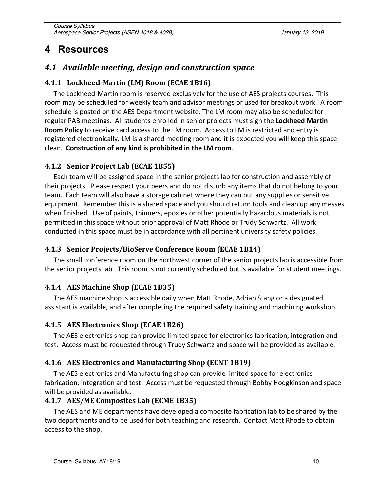## **4 Resources**

## **4.1** Available meeting, design and construction space

#### **4.1.1 Lockheed-Martin (LM) Room (ECAE 1B16)**

The Lockheed-Martin room is reserved exclusively for the use of AES projects courses. This room may be scheduled for weekly team and advisor meetings or used for breakout work. A room schedule is posted on the AES Department website. The LM room may also be scheduled for regular PAB meetings. All students enrolled in senior projects must sign the **Lockheed Martin Room Policy** to receive card access to the LM room. Access to LM is restricted and entry is registered electronically. LM is a shared meeting room and it is expected you will keep this space clean. **Construction of any kind is prohibited in the LM room**.

#### **4.1.2 Senior Project Lab (ECAE 1B55)**

Each team will be assigned space in the senior projects lab for construction and assembly of their projects. Please respect your peers and do not disturb any items that do not belong to your team. Each team will also have a storage cabinet where they can put any supplies or sensitive equipment. Remember this is a shared space and you should return tools and clean up any messes when finished. Use of paints, thinners, epoxies or other potentially hazardous materials is not permitted in this space without prior approval of Matt Rhode or Trudy Schwartz. All work conducted in this space must be in accordance with all pertinent university safety policies.

#### **4.1.3 Senior Projects/BioServe Conference Room (ECAE 1B14)**

The small conference room on the northwest corner of the senior projects lab is accessible from the senior projects lab. This room is not currently scheduled but is available for student meetings.

#### **4.1.4 AES Machine Shop (ECAE 1B35)**

The AES machine shop is accessible daily when Matt Rhode, Adrian Stang or a designated assistant is available, and after completing the required safety training and machining workshop.

#### **4.1.5 AES Electronics Shop (ECAE 1B26)**

The AES electronics shop can provide limited space for electronics fabrication, integration and test. Access must be requested through Trudy Schwartz and space will be provided as available.

#### **4.1.6 AES Electronics and Manufacturing Shop (ECNT 1B19)**

The AES electronics and Manufacturing shop can provide limited space for electronics fabrication, integration and test. Access must be requested through Bobby Hodgkinson and space will be provided as available.

#### **4.1.7 AES/ME Composites Lab (ECME 1B35)**

The AES and ME departments have developed a composite fabrication lab to be shared by the two departments and to be used for both teaching and research. Contact Matt Rhode to obtain access to the shop.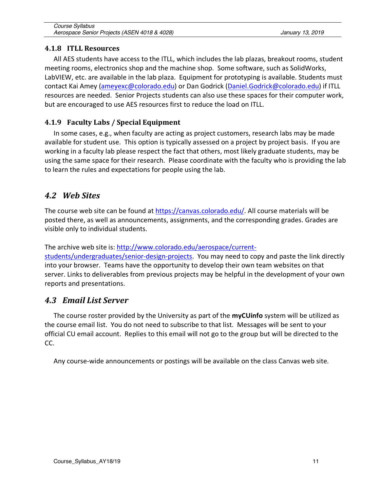#### **4.1.8 ITLL Resources**

All AES students have access to the ITLL, which includes the lab plazas, breakout rooms, student meeting rooms, electronics shop and the machine shop. Some software, such as SolidWorks, LabVIEW, etc. are available in the lab plaza. Equipment for prototyping is available. Students must contact Kai Amey (ameyexc@colorado.edu) or Dan Godrick (Daniel.Godrick@colorado.edu) if ITLL resources are needed. Senior Projects students can also use these spaces for their computer work, but are encouraged to use AES resources first to reduce the load on ITLL.

#### **4.1.9 Faculty Labs / Special Equipment**

In some cases, e.g., when faculty are acting as project customers, research labs may be made available for student use. This option is typically assessed on a project by project basis. If you are working in a faculty lab please respect the fact that others, most likely graduate students, may be using the same space for their research. Please coordinate with the faculty who is providing the lab to learn the rules and expectations for people using the lab.

## *4.2 Web Sites*

The course web site can be found at https://canvas.colorado.edu/. All course materials will be posted there, as well as announcements, assignments, and the corresponding grades. Grades are visible only to individual students.

#### The archive web site is: http://www.colorado.edu/aerospace/current-

students/undergraduates/senior-design-projects. You may need to copy and paste the link directly into your browser. Teams have the opportunity to develop their own team websites on that server. Links to deliverables from previous projects may be helpful in the development of your own reports and presentations.

#### *4.3 Email List Server*

The course roster provided by the University as part of the **myCUinfo** system will be utilized as the course email list. You do not need to subscribe to that list. Messages will be sent to your official CU email account. Replies to this email will not go to the group but will be directed to the CC.

Any course-wide announcements or postings will be available on the class Canvas web site.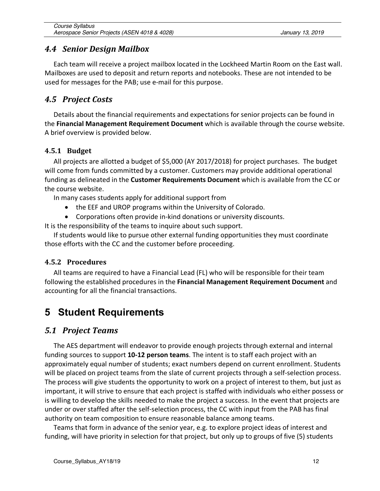#### *4.4 Senior Design Mailbox*

Each team will receive a project mailbox located in the Lockheed Martin Room on the East wall. Mailboxes are used to deposit and return reports and notebooks. These are not intended to be used for messages for the PAB; use e-mail for this purpose.

## *4.5 Project Costs*

Details about the financial requirements and expectations for senior projects can be found in the **Financial Management Requirement Document** which is available through the course website. A brief overview is provided below.

#### **4.5.1 Budget**

All projects are allotted a budget of \$5,000 (AY 2017/2018) for project purchases. The budget will come from funds committed by a customer. Customers may provide additional operational funding as delineated in the **Customer Requirements Document** which is available from the CC or the course website.

In many cases students apply for additional support from

- the EEF and UROP programs within the University of Colorado.
- Corporations often provide in-kind donations or university discounts.

It is the responsibility of the teams to inquire about such support.

If students would like to pursue other external funding opportunities they must coordinate those efforts with the CC and the customer before proceeding.

#### **4.5.2 Procedures**

All teams are required to have a Financial Lead (FL) who will be responsible for their team following the established procedures in the **Financial Management Requirement Document** and accounting for all the financial transactions.

## **5 Student Requirements**

#### *5.1 Project Teams*

The AES department will endeavor to provide enough projects through external and internal funding sources to support **10-12 person teams**. The intent is to staff each project with an approximately equal number of students; exact numbers depend on current enrollment. Students will be placed on project teams from the slate of current projects through a self-selection process. The process will give students the opportunity to work on a project of interest to them, but just as important, it will strive to ensure that each project is staffed with individuals who either possess or is willing to develop the skills needed to make the project a success. In the event that projects are under or over staffed after the self-selection process, the CC with input from the PAB has final authority on team composition to ensure reasonable balance among teams.

Teams that form in advance of the senior year, e.g. to explore project ideas of interest and funding, will have priority in selection for that project, but only up to groups of five (5) students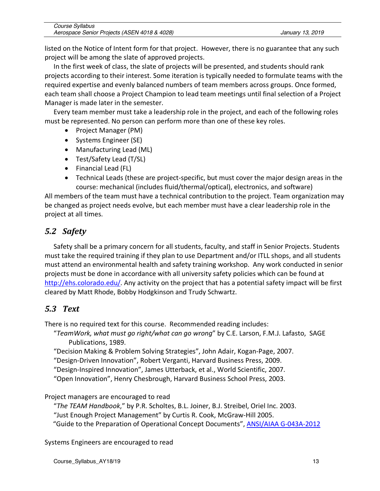| Course Syllabus                              |                  |
|----------------------------------------------|------------------|
| Aerospace Senior Projects (ASEN 4018 & 4028) | January 13, 2019 |

listed on the Notice of Intent form for that project. However, there is no guarantee that any such project will be among the slate of approved projects.

In the first week of class, the slate of projects will be presented, and students should rank projects according to their interest. Some iteration is typically needed to formulate teams with the required expertise and evenly balanced numbers of team members across groups. Once formed, each team shall choose a Project Champion to lead team meetings until final selection of a Project Manager is made later in the semester.

Every team member must take a leadership role in the project, and each of the following roles must be represented. No person can perform more than one of these key roles.

- Project Manager (PM)
- Systems Engineer (SE)
- Manufacturing Lead (ML)
- Test/Safety Lead (T/SL)
- Financial Lead (FL)
- Technical Leads (these are project-specific, but must cover the major design areas in the course: mechanical (includes fluid/thermal/optical), electronics, and software)

All members of the team must have a technical contribution to the project. Team organization may be changed as project needs evolve, but each member must have a clear leadership role in the project at all times.

## *5.2 Safety*

Safety shall be a primary concern for all students, faculty, and staff in Senior Projects. Students must take the required training if they plan to use Department and/or ITLL shops, and all students must attend an environmental health and safety training workshop. Any work conducted in senior projects must be done in accordance with all university safety policies which can be found at http://ehs.colorado.edu/. Any activity on the project that has a potential safety impact will be first cleared by Matt Rhode, Bobby Hodgkinson and Trudy Schwartz.

## *5.3 Text*

There is no required text for this course. Recommended reading includes:

"*TeamWork, what must go right/what can go wrong*" by C.E. Larson, F.M.J. Lafasto, SAGE Publications, 1989.

"Decision Making & Problem Solving Strategies", John Adair, Kogan-Page, 2007.

"Design-Driven Innovation", Robert Verganti, Harvard Business Press, 2009.

"Design-Inspired Innovation", James Utterback, et al., World Scientific, 2007.

"Open Innovation", Henry Chesbrough, Harvard Business School Press, 2003.

Project managers are encouraged to read

"*The TEAM Handbook*," by P.R. Scholtes, B.L. Joiner, B.J. Streibel, Oriel Inc. 2003.

"Just Enough Project Management" by Curtis R. Cook, McGraw-Hill 2005.

"Guide to the Preparation of Operational Concept Documents", ANSI/AIAA G-043A-2012

Systems Engineers are encouraged to read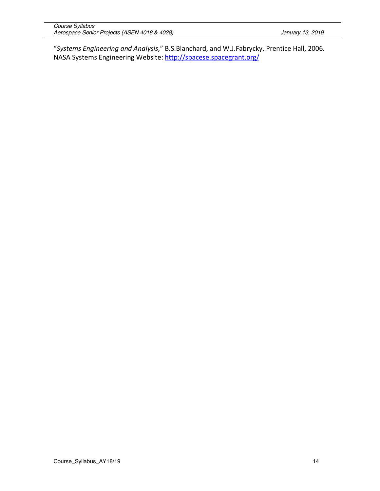"*Systems Engineering and Analysis*," B.S.Blanchard, and W.J.Fabrycky, Prentice Hall, 2006. NASA Systems Engineering Website: http://spacese.spacegrant.org/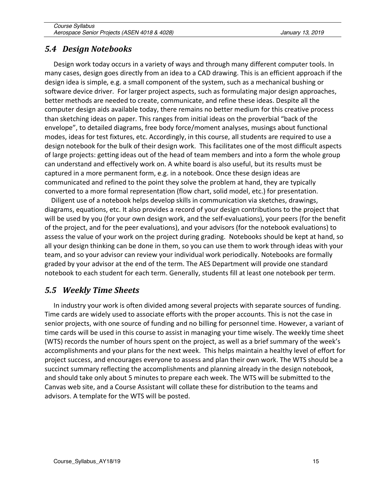### *5.4 Design Notebooks*

Design work today occurs in a variety of ways and through many different computer tools. In many cases, design goes directly from an idea to a CAD drawing. This is an efficient approach if the design idea is simple, e.g. a small component of the system, such as a mechanical bushing or software device driver. For larger project aspects, such as formulating major design approaches, better methods are needed to create, communicate, and refine these ideas. Despite all the computer design aids available today, there remains no better medium for this creative process than sketching ideas on paper. This ranges from initial ideas on the proverbial "back of the envelope", to detailed diagrams, free body force/moment analyses, musings about functional modes, ideas for test fixtures, etc. Accordingly, in this course, all students are required to use a design notebook for the bulk of their design work. This facilitates one of the most difficult aspects of large projects: getting ideas out of the head of team members and into a form the whole group can understand and effectively work on. A white board is also useful, but its results must be captured in a more permanent form, e.g. in a notebook. Once these design ideas are communicated and refined to the point they solve the problem at hand, they are typically converted to a more formal representation (flow chart, solid model, etc.) for presentation.

 Diligent use of a notebook helps develop skills in communication via sketches, drawings, diagrams, equations, etc. It also provides a record of your design contributions to the project that will be used by you (for your own design work, and the self-evaluations), your peers (for the benefit of the project, and for the peer evaluations), and your advisors (for the notebook evaluations) to assess the value of your work on the project during grading. Notebooks should be kept at hand, so all your design thinking can be done in them, so you can use them to work through ideas with your team, and so your advisor can review your individual work periodically. Notebooks are formally graded by your advisor at the end of the term. The AES Department will provide one standard notebook to each student for each term. Generally, students fill at least one notebook per term.

## *5.5 Weekly Time Sheets*

In industry your work is often divided among several projects with separate sources of funding. Time cards are widely used to associate efforts with the proper accounts. This is not the case in senior projects, with one source of funding and no billing for personnel time. However, a variant of time cards will be used in this course to assist in managing your time wisely. The weekly time sheet (WTS) records the number of hours spent on the project, as well as a brief summary of the week's accomplishments and your plans for the next week. This helps maintain a healthy level of effort for project success, and encourages everyone to assess and plan their own work. The WTS should be a succinct summary reflecting the accomplishments and planning already in the design notebook, and should take only about 5 minutes to prepare each week. The WTS will be submitted to the Canvas web site, and a Course Assistant will collate these for distribution to the teams and advisors. A template for the WTS will be posted.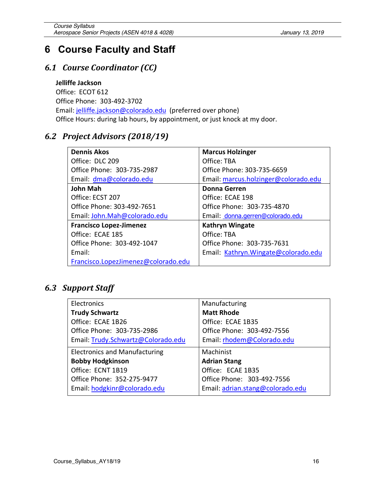# **6 Course Faculty and Staff**

## *6.1 Course Coordinator (CC)*

#### **Jelliffe Jackson**

Office: ECOT 612 Office Phone: 303-492-3702 Email: jelliffe.jackson@colorado.edu (preferred over phone) Office Hours: during lab hours, by appointment, or just knock at my door.

## *6.2 Project Advisors (2018/19)*

| <b>Dennis Akos</b>                  | <b>Marcus Holzinger</b>              |  |
|-------------------------------------|--------------------------------------|--|
| Office: DLC 209                     | Office: TBA                          |  |
| Office Phone: 303-735-2987          | Office Phone: 303-735-6659           |  |
| Email: dma@colorado.edu             | Email: marcus.holzinger@colorado.edu |  |
| John Mah                            | Donna Gerren                         |  |
| Office: ECST 207                    | Office: ECAE 198                     |  |
| Office Phone: 303-492-7651          | Office Phone: 303-735-4870           |  |
| Email: John.Mah@colorado.edu        | Email: donna.gerren@colorado.edu     |  |
| <b>Francisco Lopez-Jimenez</b>      | Kathryn Wingate                      |  |
| Office: ECAE 185                    | Office: TBA                          |  |
| Office Phone: 303-492-1047          | Office Phone: 303-735-7631           |  |
| Email:                              | Email: Kathryn. Wingate@colorado.edu |  |
| Francisco.LopezJimenez@colorado.edu |                                      |  |

## *6.3 Support Staff*

| Electronics                          | Manufacturing                    |
|--------------------------------------|----------------------------------|
| <b>Trudy Schwartz</b>                | <b>Matt Rhode</b>                |
| Office: ECAE 1B26                    | Office: ECAE 1B35                |
| Office Phone: 303-735-2986           | Office Phone: 303-492-7556       |
| Email: Trudy.Schwartz@Colorado.edu   | Email: rhodem@Colorado.edu       |
| <b>Electronics and Manufacturing</b> | Machinist                        |
| <b>Bobby Hodgkinson</b>              | <b>Adrian Stang</b>              |
| Office: ECNT 1B19                    | Office: ECAE 1B35                |
| Office Phone: 352-275-9477           | Office Phone: 303-492-7556       |
| Email: hodgkinr@colorado.edu         | Email: adrian.stang@colorado.edu |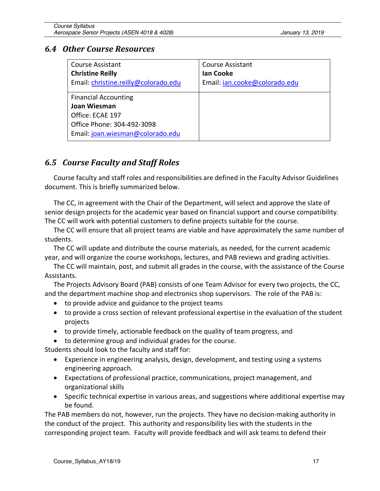### *6.4 Other Course Resources*

| <b>Course Assistant</b><br><b>Christine Reilly</b><br>Email: christine.reilly@colorado.edu | <b>Course Assistant</b><br><b>Ian Cooke</b><br>Email: ian.cooke@colorado.edu |
|--------------------------------------------------------------------------------------------|------------------------------------------------------------------------------|
| <b>Financial Accounting</b>                                                                |                                                                              |
| Joan Wiesman                                                                               |                                                                              |
| Office: ECAE 197                                                                           |                                                                              |
| Office Phone: 304-492-3098                                                                 |                                                                              |
| Email: joan.wiesman@colorado.edu                                                           |                                                                              |

## *6.5 Course Faculty and Staff Roles*

Course faculty and staff roles and responsibilities are defined in the Faculty Advisor Guidelines document. This is briefly summarized below.

The CC, in agreement with the Chair of the Department, will select and approve the slate of senior design projects for the academic year based on financial support and course compatibility. The CC will work with potential customers to define projects suitable for the course.

The CC will ensure that all project teams are viable and have approximately the same number of students.

The CC will update and distribute the course materials, as needed, for the current academic year, and will organize the course workshops, lectures, and PAB reviews and grading activities.

The CC will maintain, post, and submit all grades in the course, with the assistance of the Course Assistants.

The Projects Advisory Board (PAB) consists of one Team Advisor for every two projects, the CC, and the department machine shop and electronics shop supervisors. The role of the PAB is:

- to provide advice and guidance to the project teams
- to provide a cross section of relevant professional expertise in the evaluation of the student projects
- to provide timely, actionable feedback on the quality of team progress, and
- to determine group and individual grades for the course.

Students should look to the faculty and staff for:

- Experience in engineering analysis, design, development, and testing using a systems engineering approach.
- Expectations of professional practice, communications, project management, and organizational skills
- Specific technical expertise in various areas, and suggestions where additional expertise may be found.

The PAB members do not, however, run the projects. They have no decision-making authority in the conduct of the project. This authority and responsibility lies with the students in the corresponding project team. Faculty will provide feedback and will ask teams to defend their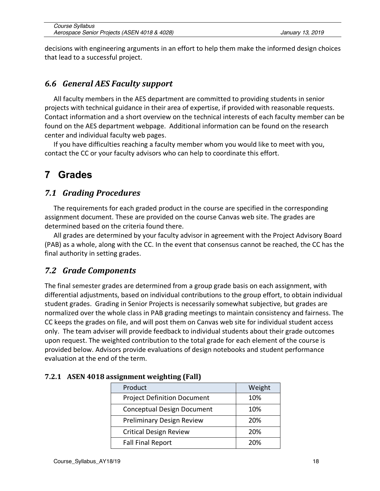| Course Syllabus                              |
|----------------------------------------------|
| Aerospace Senior Projects (ASEN 4018 & 4028) |

decisions with engineering arguments in an effort to help them make the informed design choices that lead to a successful project.

### *6.6 General AES Faculty support*

All faculty members in the AES department are committed to providing students in senior projects with technical guidance in their area of expertise, if provided with reasonable requests. Contact information and a short overview on the technical interests of each faculty member can be found on the AES department webpage. Additional information can be found on the research center and individual faculty web pages.

If you have difficulties reaching a faculty member whom you would like to meet with you, contact the CC or your faculty advisors who can help to coordinate this effort.

## **7 Grades**

#### *7.1 Grading Procedures*

The requirements for each graded product in the course are specified in the corresponding assignment document. These are provided on the course Canvas web site. The grades are determined based on the criteria found there.

All grades are determined by your faculty advisor in agreement with the Project Advisory Board (PAB) as a whole, along with the CC. In the event that consensus cannot be reached, the CC has the final authority in setting grades.

## *7.2 Grade Components*

The final semester grades are determined from a group grade basis on each assignment, with differential adjustments, based on individual contributions to the group effort, to obtain individual student grades. Grading in Senior Projects is necessarily somewhat subjective, but grades are normalized over the whole class in PAB grading meetings to maintain consistency and fairness. The CC keeps the grades on file, and will post them on Canvas web site for individual student access only. The team adviser will provide feedback to individual students about their grade outcomes upon request. The weighted contribution to the total grade for each element of the course is provided below. Advisors provide evaluations of design notebooks and student performance evaluation at the end of the term.

| Product                            | Weight |
|------------------------------------|--------|
| <b>Project Definition Document</b> | 10%    |
| <b>Conceptual Design Document</b>  | 10%    |
| Preliminary Design Review          | 20%    |
| <b>Critical Design Review</b>      | 20%    |
| <b>Fall Final Report</b>           | 20%    |

| 7.2.1 ASEN 4018 assignment weighting (Fall) |  |
|---------------------------------------------|--|
|                                             |  |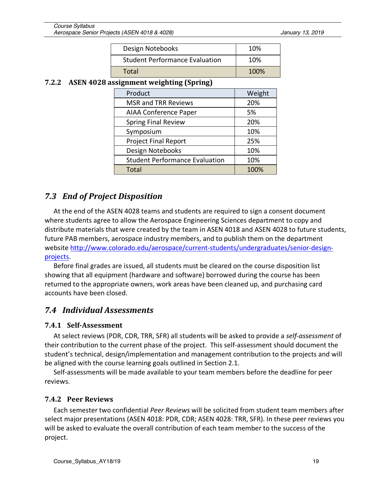| Design Notebooks                      | 10%  |
|---------------------------------------|------|
| <b>Student Performance Evaluation</b> | 10%  |
| Total                                 | 100% |

#### **7.2.2 ASEN 4028 assignment weighting (Spring)**

| Product                               | Weight |
|---------------------------------------|--------|
| <b>MSR and TRR Reviews</b>            | 20%    |
| <b>AIAA Conference Paper</b>          | 5%     |
| <b>Spring Final Review</b>            | 20%    |
| Symposium                             | 10%    |
| <b>Project Final Report</b>           | 25%    |
| Design Notebooks                      | 10%    |
| <b>Student Performance Evaluation</b> | 10%    |
| <b>Total</b>                          | 100%   |
|                                       |        |

## *7.3 End of Project Disposition*

At the end of the ASEN 4028 teams and students are required to sign a consent document where students agree to allow the Aerospace Engineering Sciences department to copy and distribute materials that were created by the team in ASEN 4018 and ASEN 4028 to future students, future PAB members, aerospace industry members, and to publish them on the department website http://www.colorado.edu/aerospace/current-students/undergraduates/senior-designprojects.

Before final grades are issued, all students must be cleared on the course disposition list showing that all equipment (hardware and software) borrowed during the course has been returned to the appropriate owners, work areas have been cleaned up, and purchasing card accounts have been closed.

## *7.4 Individual Assessments*

#### **7.4.1 Self-Assessment**

At select reviews (PDR, CDR, TRR, SFR) all students will be asked to provide a *self-assessment* of their contribution to the current phase of the project. This self-assessment should document the student's technical, design/implementation and management contribution to the projects and will be aligned with the course learning goals outlined in Section 2.1.

Self-assessments will be made available to your team members before the deadline for peer reviews.

#### **7.4.2 Peer Reviews**

Each semester two confidential *Peer Reviews* will be solicited from student team members after select major presentations (ASEN 4018: PDR, CDR; ASEN 4028: TRR, SFR). In these peer reviews you will be asked to evaluate the overall contribution of each team member to the success of the project.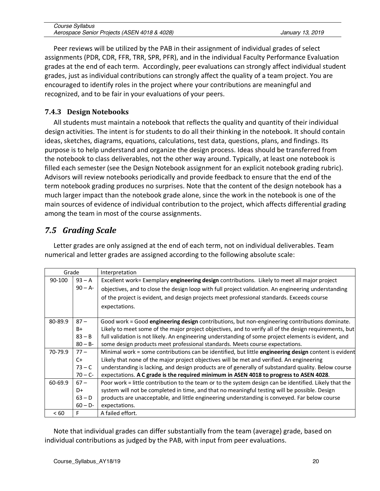| Course Syllabus                              |
|----------------------------------------------|
| Aerospace Senior Projects (ASEN 4018 & 4028) |

Peer reviews will be utilized by the PAB in their assignment of individual grades of select assignments (PDR, CDR, FFR, TRR, SPR, PFR), and in the individual Faculty Performance Evaluation grades at the end of each term. Accordingly, peer evaluations can strongly affect individual student grades, just as individual contributions can strongly affect the quality of a team project. You are encouraged to identify roles in the project where your contributions are meaningful and recognized, and to be fair in your evaluations of your peers.

#### **7.4.3 Design Notebooks**

All students must maintain a notebook that reflects the quality and quantity of their individual design activities. The intent is for students to do all their thinking in the notebook. It should contain ideas, sketches, diagrams, equations, calculations, test data, questions, plans, and findings. Its purpose is to help understand and organize the design process. Ideas should be transferred from the notebook to class deliverables, not the other way around. Typically, at least one notebook is filled each semester (see the Design Notebook assignment for an explicit notebook grading rubric). Advisors will review notebooks periodically and provide feedback to ensure that the end of the term notebook grading produces no surprises. Note that the content of the design notebook has a much larger impact than the notebook grade alone, since the work in the notebook is one of the main sources of evidence of individual contribution to the project, which affects differential grading among the team in most of the course assignments.

## *7.5 Grading Scale*

Letter grades are only assigned at the end of each term, not on individual deliverables. Team numerical and letter grades are assigned according to the following absolute scale:

| Grade   |            | Interpretation                                                                                         |
|---------|------------|--------------------------------------------------------------------------------------------------------|
| 90-100  | $93 - A$   | Excellent work= Exemplary engineering design contributions. Likely to meet all major project           |
|         | $90 - A$ - | objectives, and to close the design loop with full project validation. An engineering understanding    |
|         |            | of the project is evident, and design projects meet professional standards. Exceeds course             |
|         |            | expectations.                                                                                          |
|         |            |                                                                                                        |
| 80-89.9 | $87 -$     | Good work = Good engineering design contributions, but non-engineering contributions dominate.         |
|         | B+         | Likely to meet some of the major project objectives, and to verify all of the design requirements, but |
|         | $83 - B$   | full validation is not likely. An engineering understanding of some project elements is evident, and   |
|         | $80 - B -$ | some design products meet professional standards. Meets course expectations.                           |
| 70-79.9 | $77 -$     | Minimal work = some contributions can be identified, but little engineering design content is evident  |
|         | $C+$       | Likely that none of the major project objectives will be met and verified. An engineering              |
|         | $73 - C$   | understanding is lacking, and design products are of generally of substandard quality. Below course    |
|         | $70 - C -$ | expectations. A C grade is the required minimum in ASEN 4018 to progress to ASEN 4028.                 |
| 60-69.9 | $67 -$     | Poor work = little contribution to the team or to the system design can be identified. Likely that the |
|         | D+         | system will not be completed in time, and that no meaningful testing will be possible. Design          |
|         | $63 - D$   | products are unacceptable, and little engineering understanding is conveyed. Far below course          |
|         | $60 - D$   | expectations.                                                                                          |
| < 60    | F.         | A failed effort.                                                                                       |

Note that individual grades can differ substantially from the team (average) grade, based on individual contributions as judged by the PAB, with input from peer evaluations.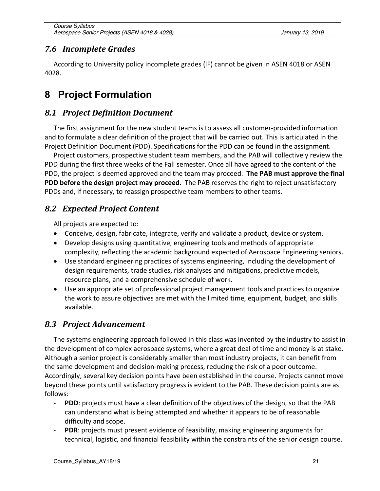## *7.6 Incomplete Grades*

According to University policy incomplete grades (IF) cannot be given in ASEN 4018 or ASEN 4028.

# **8 Project Formulation**

## *8.1 Project Definition Document*

The first assignment for the new student teams is to assess all customer-provided information and to formulate a clear definition of the project that will be carried out. This is articulated in the Project Definition Document (PDD). Specifications for the PDD can be found in the assignment.

Project customers, prospective student team members, and the PAB will collectively review the PDD during the first three weeks of the Fall semester. Once all have agreed to the content of the PDD, the project is deemed approved and the team may proceed. **The PAB must approve the final PDD before the design project may proceed**. The PAB reserves the right to reject unsatisfactory PDDs and, if necessary, to reassign prospective team members to other teams.

## *8.2 Expected Project Content*

All projects are expected to:

- Conceive, design, fabricate, integrate, verify and validate a product, device or system.
- Develop designs using quantitative, engineering tools and methods of appropriate complexity, reflecting the academic background expected of Aerospace Engineering seniors.
- Use standard engineering practices of systems engineering, including the development of design requirements, trade studies, risk analyses and mitigations, predictive models, resource plans, and a comprehensive schedule of work.
- Use an appropriate set of professional project management tools and practices to organize the work to assure objectives are met with the limited time, equipment, budget, and skills available.

## *8.3 Project Advancement*

The systems engineering approach followed in this class was invented by the industry to assist in the development of complex aerospace systems, where a great deal of time and money is at stake. Although a senior project is considerably smaller than most industry projects, it can benefit from the same development and decision-making process, reducing the risk of a poor outcome. Accordingly, several key decision points have been established in the course. Projects cannot move beyond these points until satisfactory progress is evident to the PAB. These decision points are as follows:

- **PDD**: projects must have a clear definition of the objectives of the design, so that the PAB can understand what is being attempted and whether it appears to be of reasonable difficulty and scope.
- **PDR**: projects must present evidence of feasibility, making engineering arguments for technical, logistic, and financial feasibility within the constraints of the senior design course.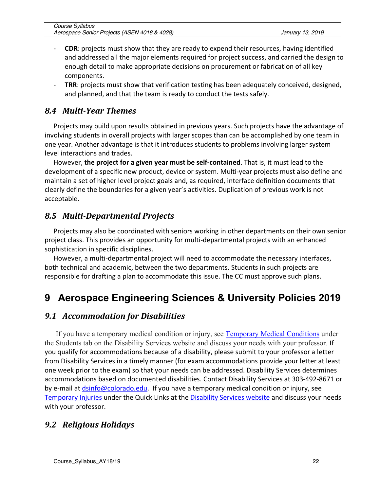- **CDR**: projects must show that they are ready to expend their resources, having identified and addressed all the major elements required for project success, and carried the design to enough detail to make appropriate decisions on procurement or fabrication of all key components.
- **TRR:** projects must show that verification testing has been adequately conceived, designed, and planned, and that the team is ready to conduct the tests safely.

#### *8.4 Multi-Year Themes*

Projects may build upon results obtained in previous years. Such projects have the advantage of involving students in overall projects with larger scopes than can be accomplished by one team in one year. Another advantage is that it introduces students to problems involving larger system level interactions and trades.

However, **the project for a given year must be self-contained**. That is, it must lead to the development of a specific new product, device or system. Multi-year projects must also define and maintain a set of higher level project goals and, as required, interface definition documents that clearly define the boundaries for a given year's activities. Duplication of previous work is not acceptable.

## *8.5 Multi-Departmental Projects*

Projects may also be coordinated with seniors working in other departments on their own senior project class. This provides an opportunity for multi-departmental projects with an enhanced sophistication in specific disciplines.

However, a multi-departmental project will need to accommodate the necessary interfaces, both technical and academic, between the two departments. Students in such projects are responsible for drafting a plan to accommodate this issue. The CC must approve such plans.

## **9 Aerospace Engineering Sciences & University Policies 2019**

#### *9.1 Accommodation for Disabilities*

If you have a temporary medical condition or injury, see **Temporary Medical Conditions** under the Students tab on the Disability Services website and discuss your needs with your professor. If you qualify for accommodations because of a disability, please submit to your professor a letter from Disability Services in a timely manner (for exam accommodations provide your letter at least one week prior to the exam) so that your needs can be addressed. Disability Services determines accommodations based on documented disabilities. Contact Disability Services at 303-492-8671 or by e-mail at dsinfo@colorado.edu. If you have a temporary medical condition or injury, see Temporary Injuries under the Quick Links at the Disability Services website and discuss your needs with your professor.

## *9.2 Religious Holidays*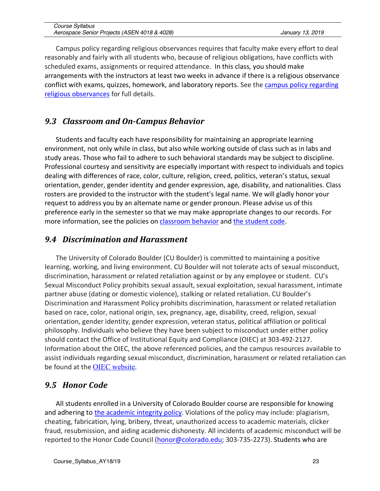| <i>Course Syllabus</i>                       |  |
|----------------------------------------------|--|
| Aerospace Senior Projects (ASEN 4018 & 4028) |  |

Campus policy regarding religious observances requires that faculty make every effort to deal reasonably and fairly with all students who, because of religious obligations, have conflicts with scheduled exams, assignments or required attendance. In this class, you should make arrangements with the instructors at least two weeks in advance if there is a religious observance conflict with exams, quizzes, homework, and laboratory reports. See the campus policy regarding religious observances for full details.

### *9.3 Classroom and On-Campus Behavior*

Students and faculty each have responsibility for maintaining an appropriate learning environment, not only while in class, but also while working outside of class such as in labs and study areas. Those who fail to adhere to such behavioral standards may be subject to discipline. Professional courtesy and sensitivity are especially important with respect to individuals and topics dealing with differences of race, color, culture, religion, creed, politics, veteran's status, sexual orientation, gender, gender identity and gender expression, age, disability, and nationalities. Class rosters are provided to the instructor with the student's legal name. We will gladly honor your request to address you by an alternate name or gender pronoun. Please advise us of this preference early in the semester so that we may make appropriate changes to our records. For more information, see the policies on classroom behavior and the student code.

### *9.4 Discrimination and Harassment*

The University of Colorado Boulder (CU Boulder) is committed to maintaining a positive learning, working, and living environment. CU Boulder will not tolerate acts of sexual misconduct, discrimination, harassment or related retaliation against or by any employee or student. CU's Sexual Misconduct Policy prohibits sexual assault, sexual exploitation, sexual harassment, intimate partner abuse (dating or domestic violence), stalking or related retaliation. CU Boulder's Discrimination and Harassment Policy prohibits discrimination, harassment or related retaliation based on race, color, national origin, sex, pregnancy, age, disability, creed, religion, sexual orientation, gender identity, gender expression, veteran status, political affiliation or political philosophy. Individuals who believe they have been subject to misconduct under either policy should contact the Office of Institutional Equity and Compliance (OIEC) at 303-492-2127. Information about the OIEC, the above referenced policies, and the campus resources available to assist individuals regarding sexual misconduct, discrimination, harassment or related retaliation can be found at the OIEC website.

#### *9.5 Honor Code*

All students enrolled in a University of Colorado Boulder course are responsible for knowing and adhering to the academic integrity policy. Violations of the policy may include: plagiarism, cheating, fabrication, lying, bribery, threat, unauthorized access to academic materials, clicker fraud, resubmission, and aiding academic dishonesty. All incidents of academic misconduct will be reported to the Honor Code Council (honor@colorado.edu; 303-735-2273). Students who are